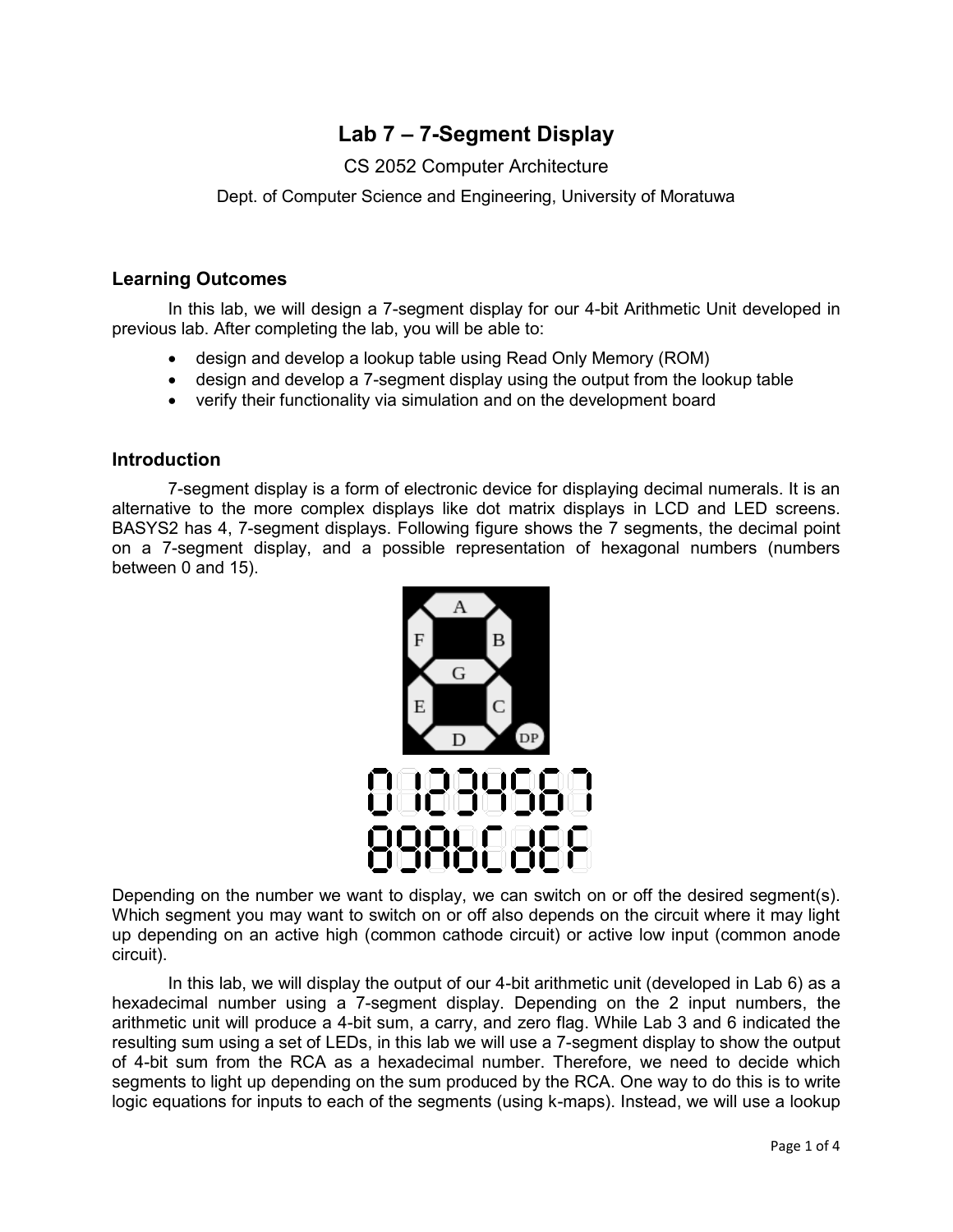# **Lab 7 – 7-Segment Display**

# CS 2052 Computer Architecture

Dept. of Computer Science and Engineering, University of Moratuwa

### **Learning Outcomes**

In this lab, we will design a 7-segment display for our 4-bit Arithmetic Unit developed in previous lab. After completing the lab, you will be able to:

- design and develop a lookup table using Read Only Memory (ROM)
- design and develop a 7-segment display using the output from the lookup table
- verify their functionality via simulation and on the development board

### **Introduction**

7-segment display is a form of electronic device for displaying decimal numerals. It is an alternative to the more complex displays like dot matrix displays in LCD and LED screens. BASYS2 has 4, 7-segment displays. Following figure shows the 7 segments, the decimal point on a 7-segment display, and a possible representation of hexagonal numbers (numbers between 0 and 15).



Depending on the number we want to display, we can switch on or off the desired segment(s). Which segment you may want to switch on or off also depends on the circuit where it may light up depending on an active high (common cathode circuit) or active low input (common anode circuit).

In this lab, we will display the output of our 4-bit arithmetic unit (developed in Lab 6) as a hexadecimal number using a 7-segment display. Depending on the 2 input numbers, the arithmetic unit will produce a 4-bit sum, a carry, and zero flag. While Lab 3 and 6 indicated the resulting sum using a set of LEDs, in this lab we will use a 7-segment display to show the output of 4-bit sum from the RCA as a hexadecimal number. Therefore, we need to decide which segments to light up depending on the sum produced by the RCA. One way to do this is to write logic equations for inputs to each of the segments (using k-maps). Instead, we will use a lookup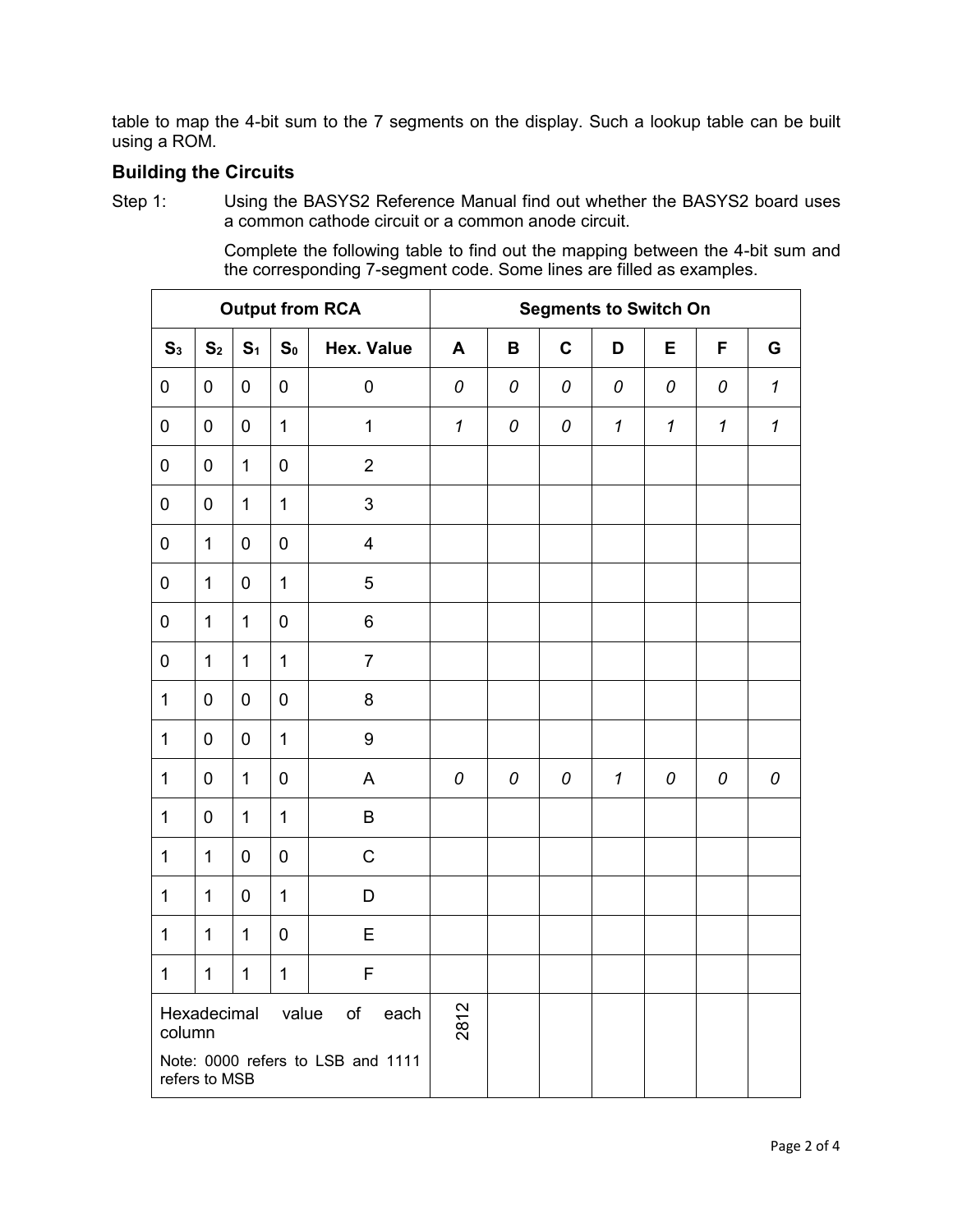table to map the 4-bit sum to the 7 segments on the display. Such a lookup table can be built using a ROM.

## **Building the Circuits**

Step 1: Using the BASYS2 Reference Manual find out whether the BASYS2 board uses a common cathode circuit or a common anode circuit.

| <b>Output from RCA</b>                                                            |                  |                |                  |                         | <b>Segments to Switch On</b> |             |             |                            |              |              |                            |
|-----------------------------------------------------------------------------------|------------------|----------------|------------------|-------------------------|------------------------------|-------------|-------------|----------------------------|--------------|--------------|----------------------------|
| S <sub>3</sub>                                                                    | S <sub>2</sub>   | S <sub>1</sub> | S <sub>0</sub>   | <b>Hex. Value</b>       | A                            | $\mathbf B$ | $\mathbf c$ | D                          | E            | F            | G                          |
| $\pmb{0}$                                                                         | $\mathbf 0$      | $\mathbf 0$    | $\mathbf 0$      | $\pmb{0}$               | 0                            | 0           | 0           | 0                          | 0            | 0            | $\mathbf{1}$               |
| $\pmb{0}$                                                                         | $\boldsymbol{0}$ | $\pmb{0}$      | $\mathbf{1}$     | $\mathbf{1}$            | $\boldsymbol{\mathcal{I}}$   | 0           | 0           | $\mathbf{1}$               | $\mathbf{1}$ | $\mathbf{1}$ | $\boldsymbol{\mathcal{L}}$ |
| $\pmb{0}$                                                                         | $\pmb{0}$        | $\mathbf{1}$   | $\mathbf 0$      | $\overline{2}$          |                              |             |             |                            |              |              |                            |
| $\pmb{0}$                                                                         | $\pmb{0}$        | $\mathbf{1}$   | $\mathbf{1}$     | 3                       |                              |             |             |                            |              |              |                            |
| $\pmb{0}$                                                                         | 1                | $\pmb{0}$      | $\mathbf 0$      | $\overline{\mathbf{4}}$ |                              |             |             |                            |              |              |                            |
| $\pmb{0}$                                                                         | $\mathbf 1$      | $\pmb{0}$      | $\mathbf{1}$     | 5                       |                              |             |             |                            |              |              |                            |
| $\pmb{0}$                                                                         | $\mathbf{1}$     | $\mathbf{1}$   | $\boldsymbol{0}$ | 6                       |                              |             |             |                            |              |              |                            |
| $\pmb{0}$                                                                         | $\mathbf{1}$     | $\mathbf{1}$   | $\overline{1}$   | $\overline{7}$          |                              |             |             |                            |              |              |                            |
| $\mathbf{1}$                                                                      | $\mathbf 0$      | $\mathbf 0$    | $\mathbf 0$      | 8                       |                              |             |             |                            |              |              |                            |
| $\mathbf 1$                                                                       | $\pmb{0}$        | $\pmb{0}$      | $\overline{1}$   | 9                       |                              |             |             |                            |              |              |                            |
| $\mathbf 1$                                                                       | $\pmb{0}$        | $\mathbf{1}$   | $\boldsymbol{0}$ | A                       | 0                            | 0           | 0           | $\boldsymbol{\mathcal{I}}$ | 0            | 0            | 0                          |
| $\mathbf{1}$                                                                      | $\pmb{0}$        | $\mathbf{1}$   | $\mathbf{1}$     | B                       |                              |             |             |                            |              |              |                            |
| $\mathbf{1}$                                                                      | $\mathbf{1}$     | $\pmb{0}$      | $\mathbf 0$      | $\mathsf C$             |                              |             |             |                            |              |              |                            |
| $\mathbf 1$                                                                       | 1                | $\pmb{0}$      | $\mathbf{1}$     | D                       |                              |             |             |                            |              |              |                            |
| $\mathbf 1$                                                                       | $\mathbf 1$      | $\mathbf 1$    | $\mathbf 0$      | E                       |                              |             |             |                            |              |              |                            |
| $\mathbf 1$                                                                       | $\mathbf 1$      | $\mathbf{1}$   | $\mathbf 1$      | F                       |                              |             |             |                            |              |              |                            |
| Hexadecimal<br>value<br>of<br>each<br>column<br>Note: 0000 refers to LSB and 1111 |                  |                |                  |                         | 2812                         |             |             |                            |              |              |                            |
| refers to MSB                                                                     |                  |                |                  |                         |                              |             |             |                            |              |              |                            |

Complete the following table to find out the mapping between the 4-bit sum and the corresponding 7-segment code. Some lines are filled as examples.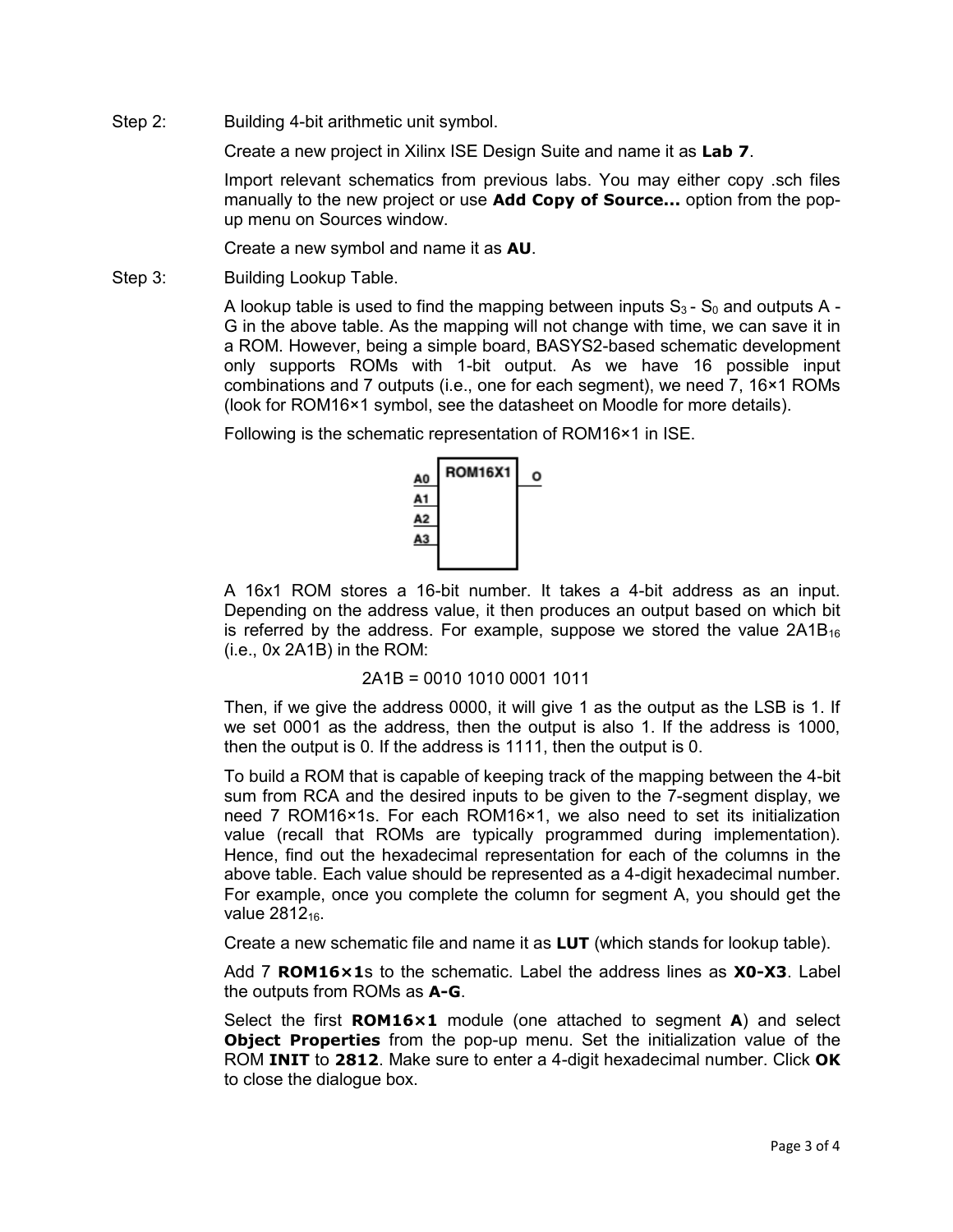Step 2: Building 4-bit arithmetic unit symbol.

Create a new project in Xilinx ISE Design Suite and name it as **Lab 7**.

Import relevant schematics from previous labs. You may either copy .sch files manually to the new project or use **Add Copy of Source...** option from the popup menu on Sources window.

Create a new symbol and name it as **AU**.

Step 3: Building Lookup Table.

A lookup table is used to find the mapping between inputs  $S_3$  -  $S_0$  and outputs A -G in the above table. As the mapping will not change with time, we can save it in a ROM. However, being a simple board, BASYS2-based schematic development only supports ROMs with 1-bit output. As we have 16 possible input combinations and 7 outputs (i.e., one for each segment), we need 7, 16×1 ROMs (look for ROM16×1 symbol, see the datasheet on Moodle for more details).

Following is the schematic representation of ROM16×1 in ISE.



A 16x1 ROM stores a 16-bit number. It takes a 4-bit address as an input. Depending on the address value, it then produces an output based on which bit is referred by the address. For example, suppose we stored the value  $2A1B_{16}$ (i.e., 0x 2A1B) in the ROM:

```
2A1B = 0010 1010 0001 1011
```
Then, if we give the address 0000, it will give 1 as the output as the LSB is 1. If we set 0001 as the address, then the output is also 1. If the address is 1000, then the output is 0. If the address is 1111, then the output is 0.

To build a ROM that is capable of keeping track of the mapping between the 4-bit sum from RCA and the desired inputs to be given to the 7-segment display, we need 7 ROM16×1s. For each ROM16×1, we also need to set its initialization value (recall that ROMs are typically programmed during implementation). Hence, find out the hexadecimal representation for each of the columns in the above table. Each value should be represented as a 4-digit hexadecimal number. For example, once you complete the column for segment A, you should get the value 2812<sub>16</sub>.

Create a new schematic file and name it as **LUT** (which stands for lookup table).

Add 7 **ROM16×1**s to the schematic. Label the address lines as **X0-X3**. Label the outputs from ROMs as **A-G**.

Select the first **ROM16×1** module (one attached to segment **A**) and select **Object Properties** from the pop-up menu. Set the initialization value of the ROM **INIT** to **2812**. Make sure to enter a 4-digit hexadecimal number. Click **OK** to close the dialogue box.